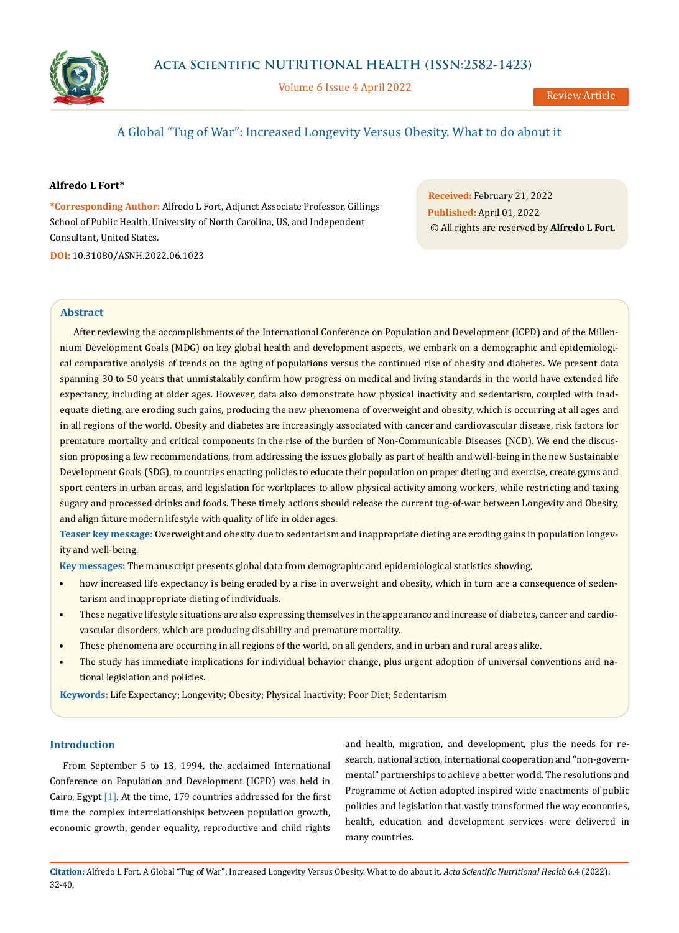



Volume 6 Issue 4 April 2022

# A Global "Tug of War": Increased Longevity Versus Obesity. What to do about it

## **Alfredo L Fort\***

**\*Corresponding Author:** Alfredo L Fort, Adjunct Associate Professor, Gillings School of Public Health, University of North Carolina, US, and Independent Consultant, United States. **DOI:** [10.31080/ASNH.2022.06.1023](https://actascientific.com/ASNH/pdf/ASNH-06-1023.pdf)

**Received:** February 21, 2022 **Published:** April 01, 2022 © All rights are reserved by **Alfredo L Fort***.*

## **Abstract**

After reviewing the accomplishments of the International Conference on Population and Development (ICPD) and of the Millennium Development Goals (MDG) on key global health and development aspects, we embark on a demographic and epidemiological comparative analysis of trends on the aging of populations versus the continued rise of obesity and diabetes. We present data spanning 30 to 50 years that unmistakably confirm how progress on medical and living standards in the world have extended life expectancy, including at older ages. However, data also demonstrate how physical inactivity and sedentarism, coupled with inadequate dieting, are eroding such gains, producing the new phenomena of overweight and obesity, which is occurring at all ages and in all regions of the world. Obesity and diabetes are increasingly associated with cancer and cardiovascular disease, risk factors for premature mortality and critical components in the rise of the burden of Non-Communicable Diseases (NCD). We end the discussion proposing a few recommendations, from addressing the issues globally as part of health and well-being in the new Sustainable Development Goals (SDG), to countries enacting policies to educate their population on proper dieting and exercise, create gyms and sport centers in urban areas, and legislation for workplaces to allow physical activity among workers, while restricting and taxing sugary and processed drinks and foods. These timely actions should release the current tug-of-war between Longevity and Obesity, and align future modern lifestyle with quality of life in older ages.

**Teaser key message:** Overweight and obesity due to sedentarism and inappropriate dieting are eroding gains in population longevity and well-being.

**Key messages:** The manuscript presents global data from demographic and epidemiological statistics showing,

- how increased life expectancy is being eroded by a rise in overweight and obesity, which in turn are a consequence of sedentarism and inappropriate dieting of individuals.
- These negative lifestyle situations are also expressing themselves in the appearance and increase of diabetes, cancer and cardiovascular disorders, which are producing disability and premature mortality.
- These phenomena are occurring in all regions of the world, on all genders, and in urban and rural areas alike.
- The study has immediate implications for individual behavior change, plus urgent adoption of universal conventions and national legislation and policies.

**Keywords:** Life Expectancy; Longevity; Obesity; Physical Inactivity; Poor Diet; Sedentarism

## **Introduction**

From September 5 to 13, 1994, the acclaimed International Conference on Population and Development (ICPD) was held in Cairo, Egypt  $[1]$ . At the time, 179 countries addressed for the first time the complex interrelationships between population growth, economic growth, gender equality, reproductive and child rights and health, migration, and development, plus the needs for research, national action, international cooperation and "non-governmental" partnerships to achieve a better world. The resolutions and Programme of Action adopted inspired wide enactments of public policies and legislation that vastly transformed the way economies, health, education and development services were delivered in many countries.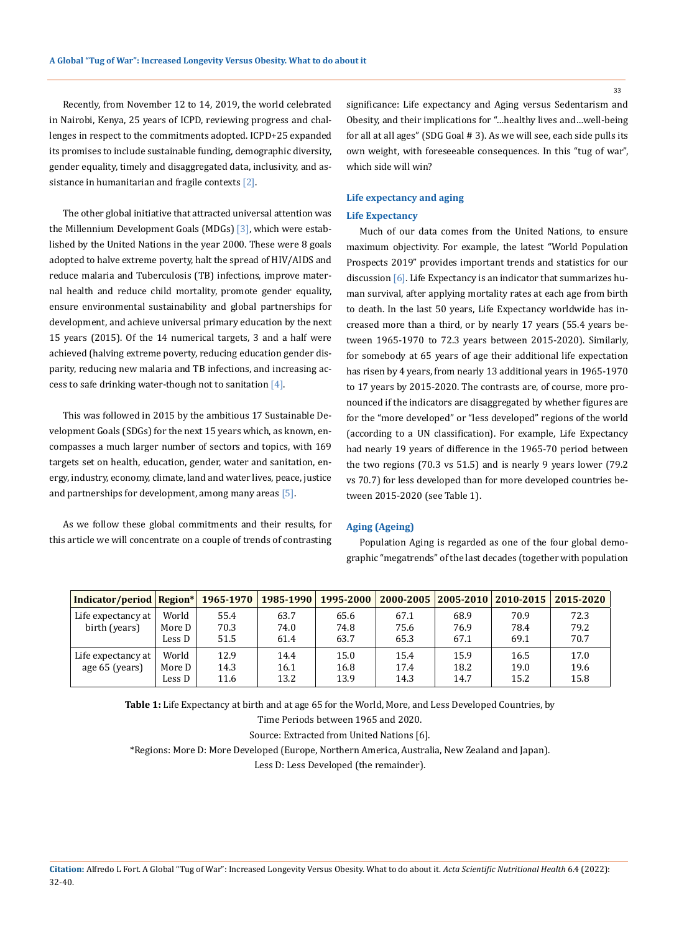Recently, from November 12 to 14, 2019, the world celebrated in Nairobi, Kenya, 25 years of ICPD, reviewing progress and challenges in respect to the commitments adopted. ICPD+25 expanded its promises to include sustainable funding, demographic diversity, gender equality, timely and disaggregated data, inclusivity, and assistance in humanitarian and fragile contexts  $[2]$ .

The other global initiative that attracted universal attention was the Millennium Development Goals (MDGs) [3], which were established by the United Nations in the year 2000. These were 8 goals adopted to halve extreme poverty, halt the spread of HIV/AIDS and reduce malaria and Tuberculosis (TB) infections, improve maternal health and reduce child mortality, promote gender equality, ensure environmental sustainability and global partnerships for development, and achieve universal primary education by the next 15 years (2015). Of the 14 numerical targets, 3 and a half were achieved (halving extreme poverty, reducing education gender disparity, reducing new malaria and TB infections, and increasing access to safe drinking water-though not to sanitation  $[4]$ .

This was followed in 2015 by the ambitious 17 Sustainable Development Goals (SDGs) for the next 15 years which, as known, encompasses a much larger number of sectors and topics, with 169 targets set on health, education, gender, water and sanitation, energy, industry, economy, climate, land and water lives, peace, justice and partnerships for development, among many areas [5].

As we follow these global commitments and their results, for this article we will concentrate on a couple of trends of contrasting significance: Life expectancy and Aging versus Sedentarism and Obesity, and their implications for "…healthy lives and…well-being for all at all ages" (SDG Goal # 3). As we will see, each side pulls its own weight, with foreseeable consequences. In this "tug of war", which side will win?

# **Life expectancy and aging**

# **Life Expectancy**

Much of our data comes from the United Nations, to ensure maximum objectivity. For example, the latest "World Population Prospects 2019" provides important trends and statistics for our discussion [6]. Life Expectancy is an indicator that summarizes human survival, after applying mortality rates at each age from birth to death. In the last 50 years, Life Expectancy worldwide has increased more than a third, or by nearly 17 years (55.4 years between 1965-1970 to 72.3 years between 2015-2020). Similarly, for somebody at 65 years of age their additional life expectation has risen by 4 years, from nearly 13 additional years in 1965-1970 to 17 years by 2015-2020. The contrasts are, of course, more pronounced if the indicators are disaggregated by whether figures are for the "more developed" or "less developed" regions of the world (according to a UN classification). For example, Life Expectancy had nearly 19 years of difference in the 1965-70 period between the two regions (70.3 vs 51.5) and is nearly 9 years lower (79.2 vs 70.7) for less developed than for more developed countries between 2015-2020 (see Table 1).

#### **Aging (Ageing)**

Population Aging is regarded as one of the four global demographic "megatrends" of the last decades (together with population

| Indicator/period   Region* |        | 1965-1970 | 1985-1990 | 1995-2000 | 2000-2005 | 2005-2010 | $2010 - 2015$ | 2015-2020 |
|----------------------------|--------|-----------|-----------|-----------|-----------|-----------|---------------|-----------|
| Life expectancy at         | World  | 55.4      | 63.7      | 65.6      | 67.1      | 68.9      | 70.9          | 72.3      |
| birth (years)              | More D | 70.3      | 74.0      | 74.8      | 75.6      | 76.9      | 78.4          | 79.2      |
|                            | Less D | 51.5      | 61.4      | 63.7      | 65.3      | 67.1      | 69.1          | 70.7      |
| Life expectancy at         | World  | 12.9      | 14.4      | 15.0      | 15.4      | 15.9      | 16.5          | 17.0      |
| age 65 (years)             | More D | 14.3      | 16.1      | 16.8      | 17.4      | 18.2      | 19.0          | 19.6      |
|                            | Less D | 11.6      | 13.2      | 13.9      | 14.3      | 14.7      | 15.2          | 15.8      |

**Table 1:** Life Expectancy at birth and at age 65 for the World, More, and Less Developed Countries, by

Time Periods between 1965 and 2020.

Source: Extracted from United Nations [6].

\*Regions: More D: More Developed (Europe, Northern America, Australia, New Zealand and Japan).

Less D: Less Developed (the remainder).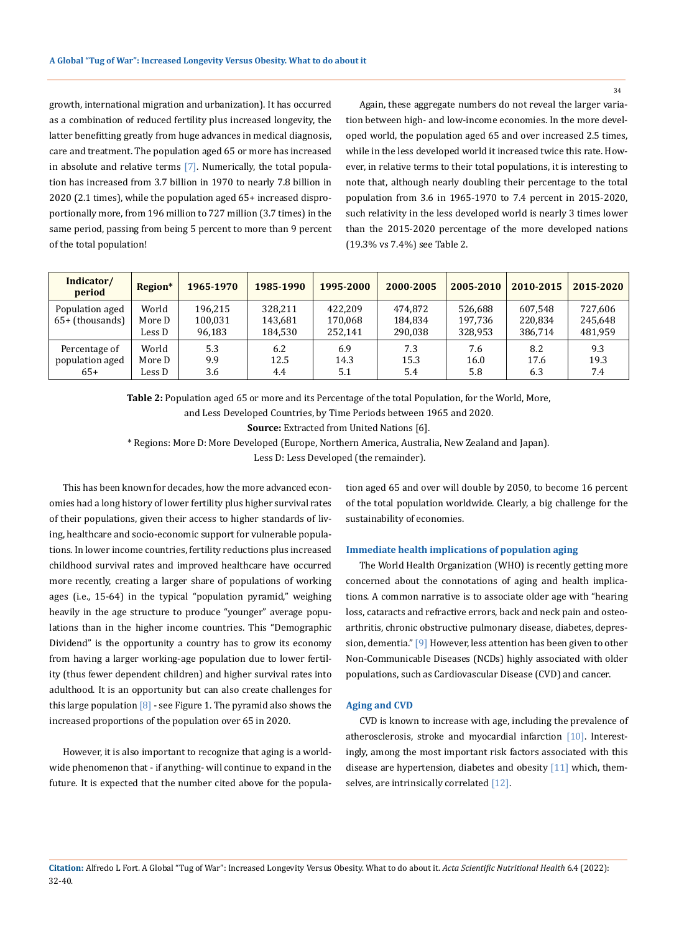growth, international migration and urbanization). It has occurred as a combination of reduced fertility plus increased longevity, the latter benefitting greatly from huge advances in medical diagnosis, care and treatment. The population aged 65 or more has increased in absolute and relative terms  $[7]$ . Numerically, the total population has increased from 3.7 billion in 1970 to nearly 7.8 billion in 2020 (2.1 times), while the population aged 65+ increased disproportionally more, from 196 million to 727 million (3.7 times) in the same period, passing from being 5 percent to more than 9 percent of the total population!

Again, these aggregate numbers do not reveal the larger variation between high- and low-income economies. In the more developed world, the population aged 65 and over increased 2.5 times, while in the less developed world it increased twice this rate. However, in relative terms to their total populations, it is interesting to note that, although nearly doubling their percentage to the total population from 3.6 in 1965-1970 to 7.4 percent in 2015-2020, such relativity in the less developed world is nearly 3 times lower than the 2015-2020 percentage of the more developed nations (19.3% vs 7.4%) see Table 2.

| Indicator/<br>period                      | Region*                   | 1965-1970                    | 1985-1990                     | 1995-2000                     | 2000-2005                     | 2005-2010                     | 2010-2015                     | 2015-2020                     |
|-------------------------------------------|---------------------------|------------------------------|-------------------------------|-------------------------------|-------------------------------|-------------------------------|-------------------------------|-------------------------------|
| Population aged<br>$65+$ (thousands)      | World<br>More D<br>Less D | 196.215<br>100,031<br>96,183 | 328.211<br>143,681<br>184.530 | 422.209<br>170,068<br>252.141 | 474.872<br>184.834<br>290.038 | 526.688<br>197.736<br>328,953 | 607.548<br>220.834<br>386,714 | 727,606<br>245,648<br>481,959 |
| Percentage of<br>population aged<br>$65+$ | World<br>More D<br>Less D | 5.3<br>9.9<br>3.6            | 6.2<br>12.5<br>4.4            | 6.9<br>14.3<br>5.1            | 7.3<br>15.3<br>5.4            | 7.6<br>16.0<br>5.8            | 8.2<br>17.6<br>6.3            | 9.3<br>19.3<br>7.4            |

**Table 2:** Population aged 65 or more and its Percentage of the total Population, for the World, More,

and Less Developed Countries, by Time Periods between 1965 and 2020.

**Source:** Extracted from United Nations [6].

\* Regions: More D: More Developed (Europe, Northern America, Australia, New Zealand and Japan).

Less D: Less Developed (the remainder).

This has been known for decades, how the more advanced economies had a long history of lower fertility plus higher survival rates of their populations, given their access to higher standards of living, healthcare and socio-economic support for vulnerable populations. In lower income countries, fertility reductions plus increased childhood survival rates and improved healthcare have occurred more recently, creating a larger share of populations of working ages (i.e., 15-64) in the typical "population pyramid," weighing heavily in the age structure to produce "younger" average populations than in the higher income countries. This "Demographic Dividend" is the opportunity a country has to grow its economy from having a larger working-age population due to lower fertility (thus fewer dependent children) and higher survival rates into adulthood. It is an opportunity but can also create challenges for this large population  $[8]$  - see Figure 1. The pyramid also shows the increased proportions of the population over 65 in 2020.

However, it is also important to recognize that aging is a worldwide phenomenon that - if anything- will continue to expand in the future. It is expected that the number cited above for the population aged 65 and over will double by 2050, to become 16 percent of the total population worldwide. Clearly, a big challenge for the sustainability of economies.

#### **Immediate health implications of population aging**

The World Health Organization (WHO) is recently getting more concerned about the connotations of aging and health implications. A common narrative is to associate older age with "hearing loss, cataracts and refractive errors, back and neck pain and osteoarthritis, chronic obstructive pulmonary disease, diabetes, depression, dementia." [9] However, less attention has been given to other Non-Communicable Diseases (NCDs) highly associated with older populations, such as Cardiovascular Disease (CVD) and cancer.

### **Aging and CVD**

CVD is known to increase with age, including the prevalence of atherosclerosis, stroke and myocardial infarction [10]. Interestingly, among the most important risk factors associated with this disease are hypertension, diabetes and obesity [11] which, themselves, are intrinsically correlated [12].

**Citation:** Alfredo L Fort*.* A Global "Tug of War": Increased Longevity Versus Obesity. What to do about it. *Acta Scientific Nutritional Health* 6.4 (2022): 32-40.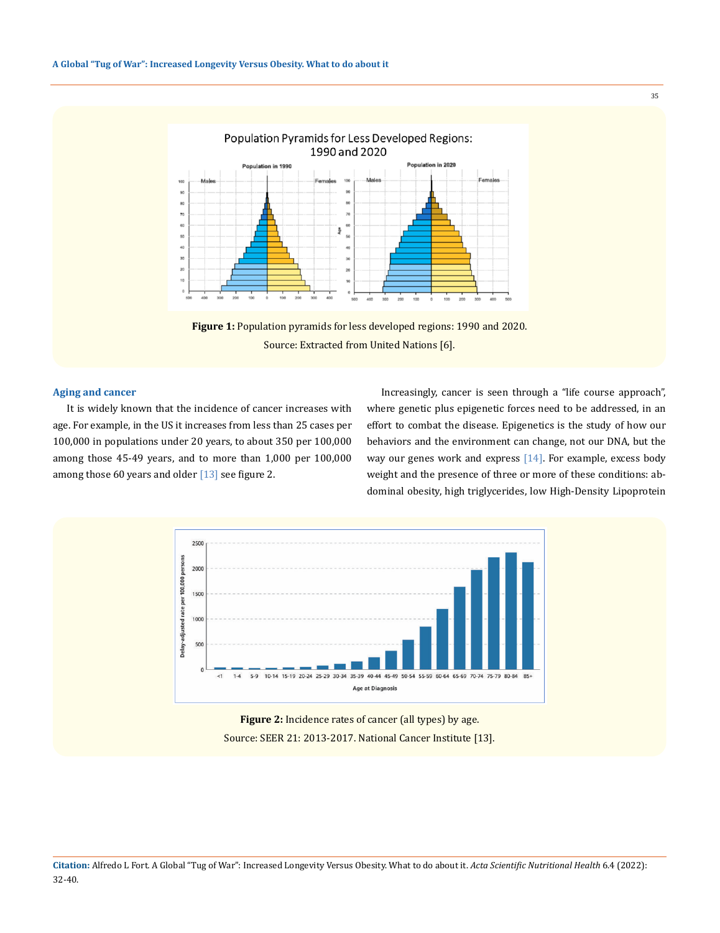



#### **Aging and cancer**

It is widely known that the incidence of cancer increases with age. For example, in the US it increases from less than 25 cases per 100,000 in populations under 20 years, to about 350 per 100,000 among those 45-49 years, and to more than 1,000 per 100,000 among those 60 years and older  $[13]$  see figure 2.

Increasingly, cancer is seen through a "life course approach", where genetic plus epigenetic forces need to be addressed, in an effort to combat the disease. Epigenetics is the study of how our behaviors and the environment can change, not our DNA, but the way our genes work and express [14]. For example, excess body weight and the presence of three or more of these conditions: abdominal obesity, high triglycerides, low High-Density Lipoprotein



**Figure 2:** Incidence rates of cancer (all types) by age. Source: SEER 21: 2013-2017. National Cancer Institute [13].

**Citation:** Alfredo L Fort*.* A Global "Tug of War": Increased Longevity Versus Obesity. What to do about it. *Acta Scientific Nutritional Health* 6.4 (2022): 32-40.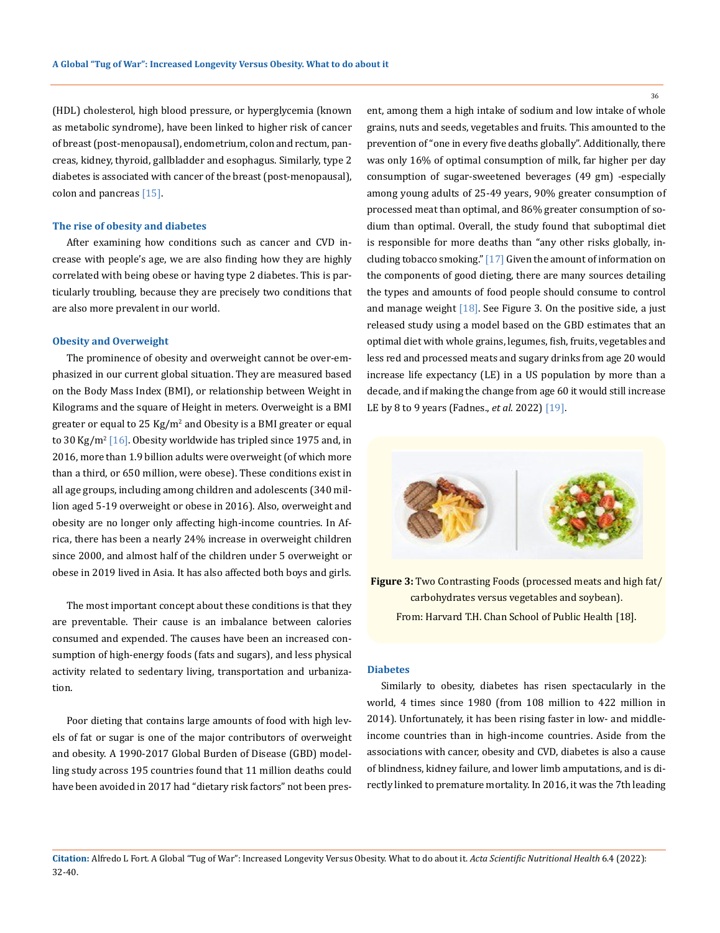(HDL) cholesterol, high blood pressure, or hyperglycemia (known as metabolic syndrome), have been linked to higher risk of cancer of breast (post-menopausal), endometrium, colon and rectum, pancreas, kidney, thyroid, gallbladder and esophagus. Similarly, type 2 diabetes is associated with cancer of the breast (post-menopausal), colon and pancreas [15].

### **The rise of obesity and diabetes**

After examining how conditions such as cancer and CVD increase with people's age, we are also finding how they are highly correlated with being obese or having type 2 diabetes. This is particularly troubling, because they are precisely two conditions that are also more prevalent in our world.

#### **Obesity and Overweight**

The prominence of obesity and overweight cannot be over-emphasized in our current global situation. They are measured based on the Body Mass Index (BMI), or relationship between Weight in Kilograms and the square of Height in meters. Overweight is a BMI greater or equal to  $25 \text{ Kg/m}^2$  and Obesity is a BMI greater or equal to 30 Kg/m<sup>2</sup> [16]. Obesity worldwide has tripled since 1975 and, in 2016, more than 1.9 billion adults were overweight (of which more than a third, or 650 million, were obese). These conditions exist in all age groups, including among children and adolescents (340 million aged 5-19 overweight or obese in 2016). Also, overweight and obesity are no longer only affecting high-income countries. In Africa, there has been a nearly 24% increase in overweight children since 2000, and almost half of the children under 5 overweight or obese in 2019 lived in Asia. It has also affected both boys and girls.

The most important concept about these conditions is that they are preventable. Their cause is an imbalance between calories consumed and expended. The causes have been an increased consumption of high-energy foods (fats and sugars), and less physical activity related to sedentary living, transportation and urbanization.

Poor dieting that contains large amounts of food with high levels of fat or sugar is one of the major contributors of overweight and obesity. A 1990-2017 Global Burden of Disease (GBD) modelling study across 195 countries found that 11 million deaths could have been avoided in 2017 had "dietary risk factors" not been present, among them a high intake of sodium and low intake of whole grains, nuts and seeds, vegetables and fruits. This amounted to the prevention of "one in every five deaths globally". Additionally, there was only 16% of optimal consumption of milk, far higher per day consumption of sugar-sweetened beverages (49 gm) -especially among young adults of 25-49 years, 90% greater consumption of processed meat than optimal, and 86% greater consumption of sodium than optimal. Overall, the study found that suboptimal diet is responsible for more deaths than "any other risks globally, including tobacco smoking." [17] Given the amount of information on the components of good dieting, there are many sources detailing the types and amounts of food people should consume to control and manage weight  $[18]$ . See Figure 3. On the positive side, a just released study using a model based on the GBD estimates that an optimal diet with whole grains, legumes, fish, fruits, vegetables and less red and processed meats and sugary drinks from age 20 would increase life expectancy (LE) in a US population by more than a decade, and if making the change from age 60 it would still increase LE by 8 to 9 years (Fadnes., *et al*. 2022) [19].



**Figure 3:** Two Contrasting Foods (processed meats and high fat/ carbohydrates versus vegetables and soybean). From: Harvard T.H. Chan School of Public Health [18].

### **Diabetes**

Similarly to obesity, diabetes has risen spectacularly in the world, 4 times since 1980 (from 108 million to 422 million in 2014). Unfortunately, it has been rising faster in low- and middleincome countries than in high-income countries. Aside from the associations with cancer, obesity and CVD, diabetes is also a cause of blindness, kidney failure, and lower limb amputations, and is directly linked to premature mortality. In 2016, it was the 7th leading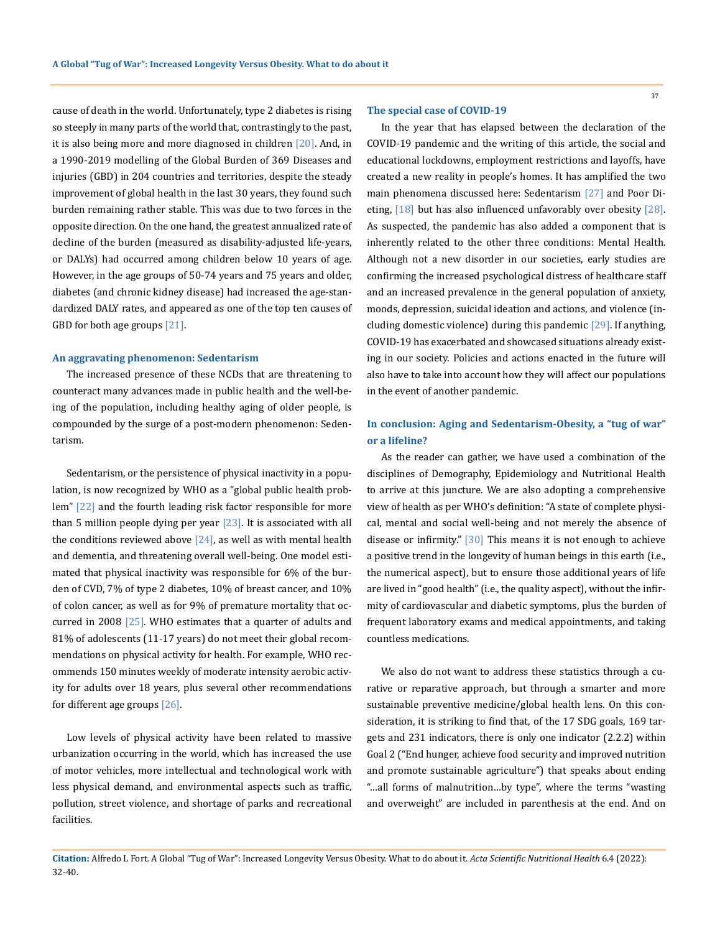cause of death in the world. Unfortunately, type 2 diabetes is rising so steeply in many parts of the world that, contrastingly to the past, it is also being more and more diagnosed in children  $[20]$ . And, in a 1990-2019 modelling of the Global Burden of 369 Diseases and injuries (GBD) in 204 countries and territories, despite the steady improvement of global health in the last 30 years, they found such burden remaining rather stable. This was due to two forces in the opposite direction. On the one hand, the greatest annualized rate of decline of the burden (measured as disability-adjusted life-years, or DALYs) had occurred among children below 10 years of age. However, in the age groups of 50-74 years and 75 years and older, diabetes (and chronic kidney disease) had increased the age-standardized DALY rates, and appeared as one of the top ten causes of GBD for both age groups [21].

#### **An aggravating phenomenon: Sedentarism**

The increased presence of these NCDs that are threatening to counteract many advances made in public health and the well-being of the population, including healthy aging of older people, is compounded by the surge of a post-modern phenomenon: Sedentarism.

Sedentarism, or the persistence of physical inactivity in a population, is now recognized by WHO as a "global public health problem" [22] and the fourth leading risk factor responsible for more than 5 million people dying per year  $[23]$ . It is associated with all the conditions reviewed above  $[24]$ , as well as with mental health and dementia, and threatening overall well-being. One model estimated that physical inactivity was responsible for 6% of the burden of CVD, 7% of type 2 diabetes, 10% of breast cancer, and 10% of colon cancer, as well as for 9% of premature mortality that occurred in 2008  $[25]$ . WHO estimates that a quarter of adults and 81% of adolescents (11-17 years) do not meet their global recommendations on physical activity for health. For example, WHO recommends 150 minutes weekly of moderate intensity aerobic activity for adults over 18 years, plus several other recommendations for different age groups  $[26]$ .

Low levels of physical activity have been related to massive urbanization occurring in the world, which has increased the use of motor vehicles, more intellectual and technological work with less physical demand, and environmental aspects such as traffic, pollution, street violence, and shortage of parks and recreational facilities.

#### **The special case of COVID-19**

In the year that has elapsed between the declaration of the COVID-19 pandemic and the writing of this article, the social and educational lockdowns, employment restrictions and layoffs, have created a new reality in people's homes. It has amplified the two main phenomena discussed here: Sedentarism [27] and Poor Dieting,  $[18]$  but has also influenced unfavorably over obesity  $[28]$ . As suspected, the pandemic has also added a component that is inherently related to the other three conditions: Mental Health. Although not a new disorder in our societies, early studies are confirming the increased psychological distress of healthcare staff and an increased prevalence in the general population of anxiety, moods, depression, suicidal ideation and actions, and violence (including domestic violence) during this pandemic [29]. If anything, COVID-19 has exacerbated and showcased situations already existing in our society. Policies and actions enacted in the future will also have to take into account how they will affect our populations in the event of another pandemic.

## **In conclusion: Aging and Sedentarism-Obesity, a "tug of war" or a lifeline?**

As the reader can gather, we have used a combination of the disciplines of Demography, Epidemiology and Nutritional Health to arrive at this juncture. We are also adopting a comprehensive view of health as per WHO's definition: "A state of complete physical, mental and social well-being and not merely the absence of disease or infirmity." [30] This means it is not enough to achieve a positive trend in the longevity of human beings in this earth (i.e., the numerical aspect), but to ensure those additional years of life are lived in "good health" (i.e., the quality aspect), without the infirmity of cardiovascular and diabetic symptoms, plus the burden of frequent laboratory exams and medical appointments, and taking countless medications.

We also do not want to address these statistics through a curative or reparative approach, but through a smarter and more sustainable preventive medicine/global health lens. On this consideration, it is striking to find that, of the 17 SDG goals, 169 targets and 231 indicators, there is only one indicator (2.2.2) within Goal 2 ("End hunger, achieve food security and improved nutrition and promote sustainable agriculture") that speaks about ending "…all forms of malnutrition…by type", where the terms "wasting and overweight" are included in parenthesis at the end. And on

**Citation:** Alfredo L Fort*.* A Global "Tug of War": Increased Longevity Versus Obesity. What to do about it. *Acta Scientific Nutritional Health* 6.4 (2022): 32-40.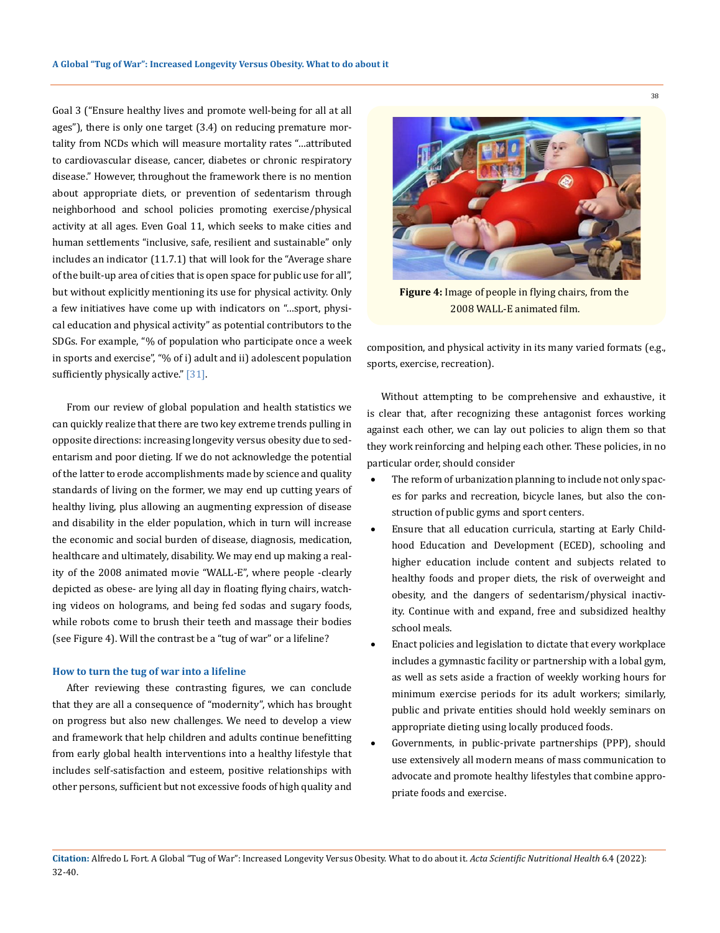Goal 3 ("Ensure healthy lives and promote well-being for all at all ages"), there is only one target (3.4) on reducing premature mortality from NCDs which will measure mortality rates "…attributed to cardiovascular disease, cancer, diabetes or chronic respiratory disease." However, throughout the framework there is no mention about appropriate diets, or prevention of sedentarism through neighborhood and school policies promoting exercise/physical activity at all ages. Even Goal 11, which seeks to make cities and human settlements "inclusive, safe, resilient and sustainable" only includes an indicator (11.7.1) that will look for the "Average share of the built-up area of cities that is open space for public use for all", but without explicitly mentioning its use for physical activity. Only a few initiatives have come up with indicators on "…sport, physical education and physical activity" as potential contributors to the SDGs. For example, "% of population who participate once a week in sports and exercise", "% of i) adult and ii) adolescent population sufficiently physically active." [31].

From our review of global population and health statistics we can quickly realize that there are two key extreme trends pulling in opposite directions: increasing longevity versus obesity due to sedentarism and poor dieting. If we do not acknowledge the potential of the latter to erode accomplishments made by science and quality standards of living on the former, we may end up cutting years of healthy living, plus allowing an augmenting expression of disease and disability in the elder population, which in turn will increase the economic and social burden of disease, diagnosis, medication, healthcare and ultimately, disability. We may end up making a reality of the 2008 animated movie "WALL-E", where people -clearly depicted as obese- are lying all day in floating flying chairs, watching videos on holograms, and being fed sodas and sugary foods, while robots come to brush their teeth and massage their bodies (see Figure 4). Will the contrast be a "tug of war" or a lifeline?

#### **How to turn the tug of war into a lifeline**

After reviewing these contrasting figures, we can conclude that they are all a consequence of "modernity", which has brought on progress but also new challenges. We need to develop a view and framework that help children and adults continue benefitting from early global health interventions into a healthy lifestyle that includes self-satisfaction and esteem, positive relationships with other persons, sufficient but not excessive foods of high quality and



**Figure 4:** Image of people in flying chairs, from the 2008 WALL-E animated film.

composition, and physical activity in its many varied formats (e.g., sports, exercise, recreation).

Without attempting to be comprehensive and exhaustive, it is clear that, after recognizing these antagonist forces working against each other, we can lay out policies to align them so that they work reinforcing and helping each other. These policies, in no particular order, should consider

- The reform of urbanization planning to include not only spaces for parks and recreation, bicycle lanes, but also the construction of public gyms and sport centers.
- Ensure that all education curricula, starting at Early Childhood Education and Development (ECED), schooling and higher education include content and subjects related to healthy foods and proper diets, the risk of overweight and obesity, and the dangers of sedentarism/physical inactivity. Continue with and expand, free and subsidized healthy school meals.
- Enact policies and legislation to dictate that every workplace includes a gymnastic facility or partnership with a lobal gym, as well as sets aside a fraction of weekly working hours for minimum exercise periods for its adult workers; similarly, public and private entities should hold weekly seminars on appropriate dieting using locally produced foods.
- Governments, in public-private partnerships (PPP), should use extensively all modern means of mass communication to advocate and promote healthy lifestyles that combine appropriate foods and exercise.
- **Citation:** Alfredo L Fort*.* A Global "Tug of War": Increased Longevity Versus Obesity. What to do about it. *Acta Scientific Nutritional Health* 6.4 (2022): 32-40.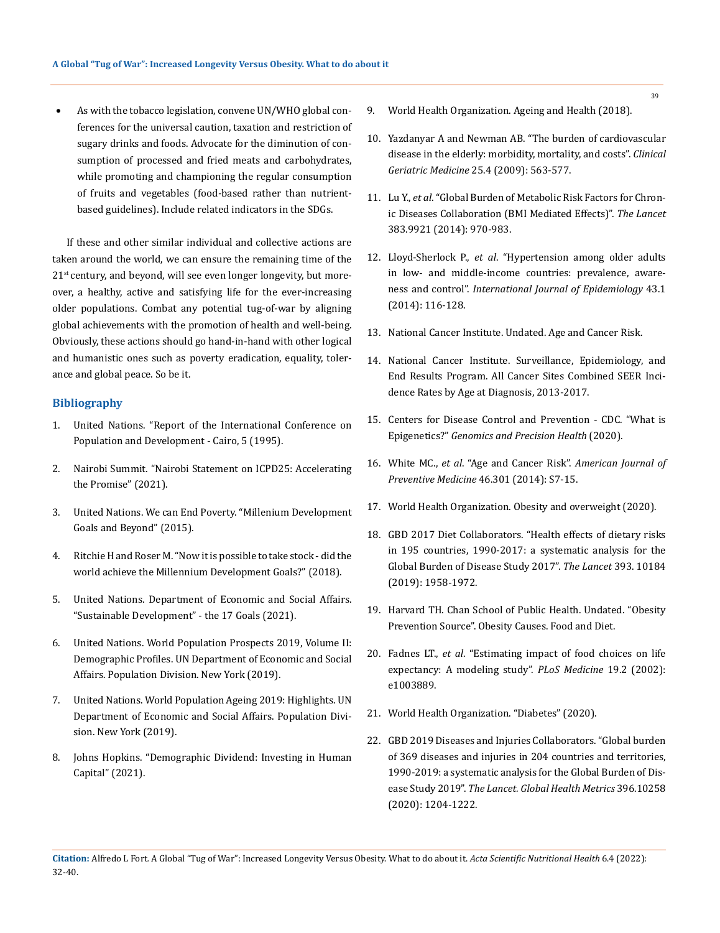As with the tobacco legislation, convene UN/WHO global conferences for the universal caution, taxation and restriction of sugary drinks and foods. Advocate for the diminution of consumption of processed and fried meats and carbohydrates, while promoting and championing the regular consumption of fruits and vegetables (food-based rather than nutrientbased guidelines). Include related indicators in the SDGs.

If these and other similar individual and collective actions are taken around the world, we can ensure the remaining time of the  $21<sup>st</sup>$  century, and beyond, will see even longer longevity, but moreover, a healthy, active and satisfying life for the ever-increasing older populations. Combat any potential tug-of-war by aligning global achievements with the promotion of health and well-being. Obviously, these actions should go hand-in-hand with other logical and humanistic ones such as poverty eradication, equality, tolerance and global peace. So be it.

## **Bibliography**

- 1. [United Nations. "Report of the International Conference on](https://www.un.org/development/desa/pd/sites/www.un.org.development.desa.pd/files/icpd_en.pdf)  [Population and Development - Cairo, 5 \(1995\).](https://www.un.org/development/desa/pd/sites/www.un.org.development.desa.pd/files/icpd_en.pdf)
- 2. [Nairobi Summit. "Nairobi Statement on ICPD25: Accelerating](https://www.nairobisummiticpd.org/content/icpd25-commitments)  [the Promise" \(2021\).](https://www.nairobisummiticpd.org/content/icpd25-commitments)
- 3. [United Nations. We can End Poverty. "Millenium Development](https://www.un.org/millenniumgoals/bkgd.shtml)  [Goals and Beyond" \(2015\).](https://www.un.org/millenniumgoals/bkgd.shtml)
- 4. [Ritchie H and Roser M. "Now it is possible to take stock did the](https://ourworldindata.org/millennium-development-goals)  [world achieve the Millennium Development Goals?" \(2018\).](https://ourworldindata.org/millennium-development-goals)
- 5. [United Nations. Department of Economic and Social Affairs.](https://sdgs.un.org/goals)  ["Sustainable Development" - the 17 Goals \(2021\).](https://sdgs.un.org/goals)
- 6. [United Nations. World Population Prospects 2019, Volume II:](https://population.un.org/wpp/Publications/Files/WPP2019_Highlights.pdf)  [Demographic Profiles. UN Department of Economic and Social](https://population.un.org/wpp/Publications/Files/WPP2019_Highlights.pdf)  [Affairs. Population Division. New York \(2019\).](https://population.un.org/wpp/Publications/Files/WPP2019_Highlights.pdf)
- 7. [United Nations. World Population Ageing 2019: Highlights. UN](https://www.un.org/en/development/desa/population/publications/pdf/ageing/WorldPopulationAgeing2019-Highlights.pdf)  [Department of Economic and Social Affairs. Population Divi](https://www.un.org/en/development/desa/population/publications/pdf/ageing/WorldPopulationAgeing2019-Highlights.pdf)[sion. New York \(2019\).](https://www.un.org/en/development/desa/population/publications/pdf/ageing/WorldPopulationAgeing2019-Highlights.pdf)
- 8. [Johns Hopkins. "Demographic Dividend: Investing in Human](https://demographicdividend.org/)  [Capital" \(2021\).](https://demographicdividend.org/)
- 9. [World Health Organization. Ageing and Health \(2018\).](https://www.who.int/news-room/fact-sheets/detail/ageing-and-health)
- 10. [Yazdanyar A and Newman AB. "The burden of cardiovascular](https://pubmed.ncbi.nlm.nih.gov/19944261/)  [disease in the elderly: morbidity, mortality, and costs".](https://pubmed.ncbi.nlm.nih.gov/19944261/) *Clinical Geriatric Medicine* [25.4 \(2009\): 563-577.](https://pubmed.ncbi.nlm.nih.gov/19944261/)
- 11. Lu Y., *et al*. "Global Burden of Metabolic Risk Factors for Chronic Diseases Collaboration (BMI Mediated Effects)". *The Lancet* 383.9921 (2014): 970-983.
- 12. Lloyd-Sherlock P., *et al*[. "Hypertension among older adults](https://pubmed.ncbi.nlm.nih.gov/24505082/)  [in low- and middle-income countries: prevalence, aware](https://pubmed.ncbi.nlm.nih.gov/24505082/)ness and control". *[International Journal of Epidemiology](https://pubmed.ncbi.nlm.nih.gov/24505082/)* 43.1 [\(2014\): 116-128.](https://pubmed.ncbi.nlm.nih.gov/24505082/)
- 13. [National Cancer Institute. Undated. Age and Cancer Risk.](https://www.cancer.gov/about-cancer/causes-prevention/risk/age)
- 14. National Cancer Institute. Surveillance, Epidemiology, and End Results Program. All Cancer Sites Combined SEER Incidence Rates by Age at Diagnosis, 2013-2017.
- 15. [Centers for Disease Control and Prevention CDC. "What is](https://www.cdc.gov/genomics/disease/epigenetics.htm)  Epigenetics?" *[Genomics and Precision](https://www.cdc.gov/genomics/disease/epigenetics.htm) Health* (2020).
- 16. White MC., *et al*[. "Age and Cancer Risk".](https://www.ncbi.nlm.nih.gov/pmc/articles/PMC4544764/) *American Journal of [Preventive Medicine](https://www.ncbi.nlm.nih.gov/pmc/articles/PMC4544764/)* 46.301 (2014): S7-15.
- 17. [World Health Organization. Obesity and overweight \(2020\).](https://www.who.int/news-room/fact-sheets/detail/obesity-and-overweight)
- 18. [GBD 2017 Diet Collaborators. "Health effects of dietary risks](https://www.thelancet.com/article/S0140-6736(19)30041-8/fulltext)  [in 195 countries, 1990-2017: a systematic analysis for the](https://www.thelancet.com/article/S0140-6736(19)30041-8/fulltext)  [Global Burden of Disease Study 2017".](https://www.thelancet.com/article/S0140-6736(19)30041-8/fulltext) *The Lancet* 393. 10184 [\(2019\): 1958-1972.](https://www.thelancet.com/article/S0140-6736(19)30041-8/fulltext)
- 19. [Harvard TH. Chan School of Public Health. Undated. "Obesity](https://www.hsph.harvard.edu/obesity-prevention-source/obesity-causes/diet-and-weight/)  [Prevention Source". Obesity Causes. Food and Diet.](https://www.hsph.harvard.edu/obesity-prevention-source/obesity-causes/diet-and-weight/)
- 20. Fadnes LT., *et al*[. "Estimating impact of food choices on life](https://pubmed.ncbi.nlm.nih.gov/35134067/)  [expectancy: A modeling study".](https://pubmed.ncbi.nlm.nih.gov/35134067/) *PLoS Medicine* 19.2 (2002): [e1003889.](https://pubmed.ncbi.nlm.nih.gov/35134067/)
- 21. [World Health Organization. "Diabetes" \(2020\).](https://www.who.int/news-room/fact-sheets/detail/diabetes)
- 22. [GBD 2019 Diseases and Injuries Collaborators. "Global burden](https://www.thelancet.com/journals/lancet/article/PIIS0140-6736(20)30925-9/fulltext)  [of 369 diseases and injuries in 204 countries and territories,](https://www.thelancet.com/journals/lancet/article/PIIS0140-6736(20)30925-9/fulltext)  [1990-2019: a systematic analysis for the Global Burden of Dis](https://www.thelancet.com/journals/lancet/article/PIIS0140-6736(20)30925-9/fulltext)ease Study 2019". *[The Lancet. Global Health Metrics](https://www.thelancet.com/journals/lancet/article/PIIS0140-6736(20)30925-9/fulltext)* 396.10258 [\(2020\): 1204-1222.](https://www.thelancet.com/journals/lancet/article/PIIS0140-6736(20)30925-9/fulltext)
- **Citation:** Alfredo L Fort*.* A Global "Tug of War": Increased Longevity Versus Obesity. What to do about it. *Acta Scientific Nutritional Health* 6.4 (2022): 32-40.